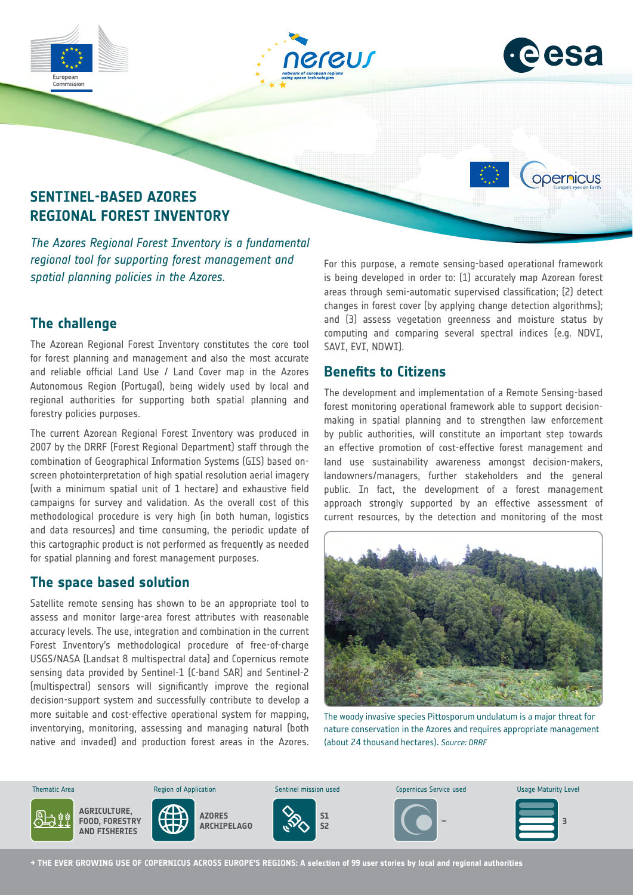



opernicus

# **SENTINEL-BASED AZORES REGIONAL FOREST INVENTORY**

*The Azores Regional Forest Inventory is a fundamental regional tool for supporting forest management and spatial planning policies in the Azores.*

### **The challenge**

The Azorean Regional Forest Inventory constitutes the core tool for forest planning and management and also the most accurate and reliable official Land Use / Land Cover map in the Azores Autonomous Region (Portugal), being widely used by local and regional authorities for supporting both spatial planning and forestry policies purposes.

The current Azorean Regional Forest Inventory was produced in 2007 by the DRRF (Forest Regional Department) staff through the combination of Geographical Information Systems (GIS) based onscreen photointerpretation of high spatial resolution aerial imagery (with a minimum spatial unit of 1 hectare) and exhaustive field campaigns for survey and validation. As the overall cost of this methodological procedure is very high (in both human, logistics and data resources) and time consuming, the periodic update of this cartographic product is not performed as frequently as needed for spatial planning and forest management purposes.

### **The space based solution**

Satellite remote sensing has shown to be an appropriate tool to assess and monitor large-area forest attributes with reasonable accuracy levels. The use, integration and combination in the current Forest Inventory's methodological procedure of free-of-charge USGS/NASA (Landsat 8 multispectral data) and Copernicus remote sensing data provided by Sentinel-1 (C-band SAR) and Sentinel-2 (multispectral) sensors will significantly improve the regional decision-support system and successfully contribute to develop a more suitable and cost-effective operational system for mapping, inventorying, monitoring, assessing and managing natural (both native and invaded) and production forest areas in the Azores. For this purpose, a remote sensing-based operational framework is being developed in order to: (1) accurately map Azorean forest areas through semi-automatic supervised classification; (2) detect changes in forest cover (by applying change detection algorithms); and (3) assess vegetation greenness and moisture status by computing and comparing several spectral indices (e.g. NDVI, SAVI, EVI, NDWI).

## **Benefits to Citizens**

The development and implementation of a Remote Sensing-based forest monitoring operational framework able to support decisionmaking in spatial planning and to strengthen law enforcement by public authorities, will constitute an important step towards an effective promotion of cost-effective forest management and land use sustainability awareness amongst decision-makers, landowners/managers, further stakeholders and the general public. In fact, the development of a forest management approach strongly supported by an effective assessment of current resources, by the detection and monitoring of the most



The woody invasive species Pittosporum undulatum is a major threat for nature conservation in the Azores and requires appropriate management (about 24 thousand hectares). *Source: DRRF*



**→ THE EVER GROWING USE OF COPERNICUS ACROSS EUROPE'S REGIONS: A selection of 99 user stories by local and regional authorities**